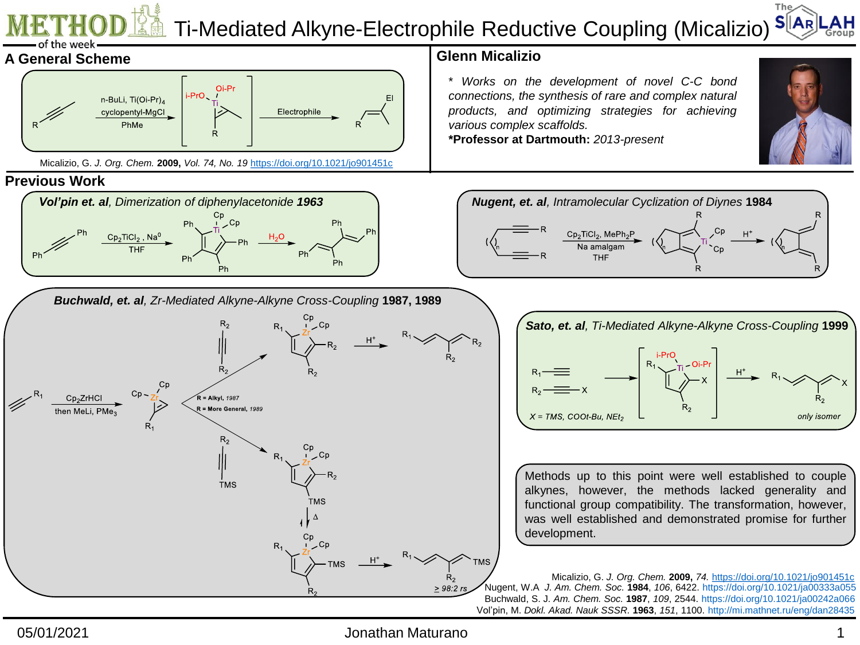

05/01/2021 Jonathan Maturano 1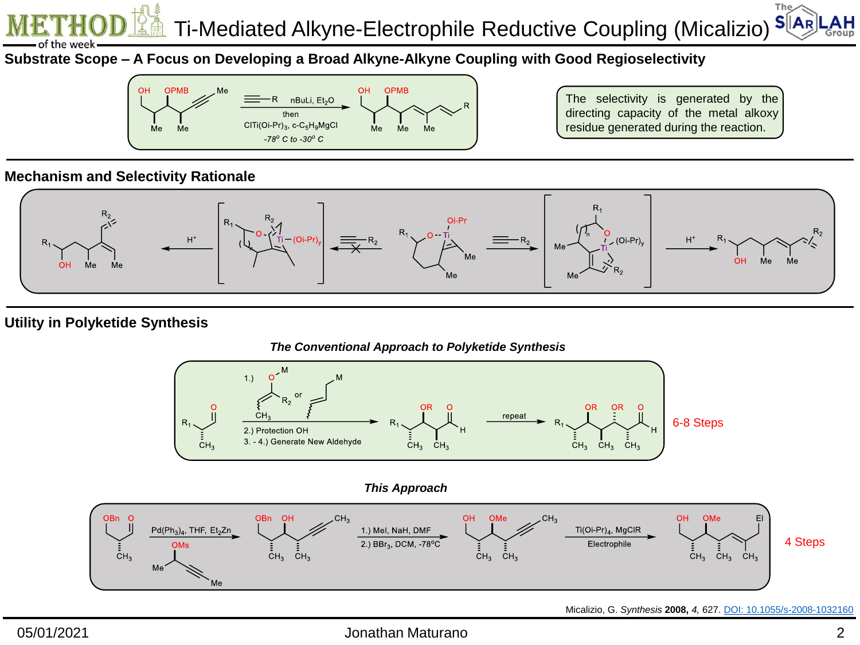$The <$  $S[|A_R|]$ Ti-Mediated Alkyne-Electrophile Reductive Coupling (Micalizio) .AH

**Substrate Scope – A Focus on Developing a Broad Alkyne-Alkyne Coupling with Good Regioselectivity**



The selectivity is generated by the directing capacity of the metal alkoxy residue generated during the reaction.

### **Mechanism and Selectivity Rationale**

the week



## **Utility in Polyketide Synthesis**



#### Micalizio, G. *Synthesis* **2008,** *4,* 627. [DOI: 10.1055/s-2008-1032160](http://dx.doi.org/10.1055/s-2008-1032160)

### 05/01/2021 Jonathan Maturano 2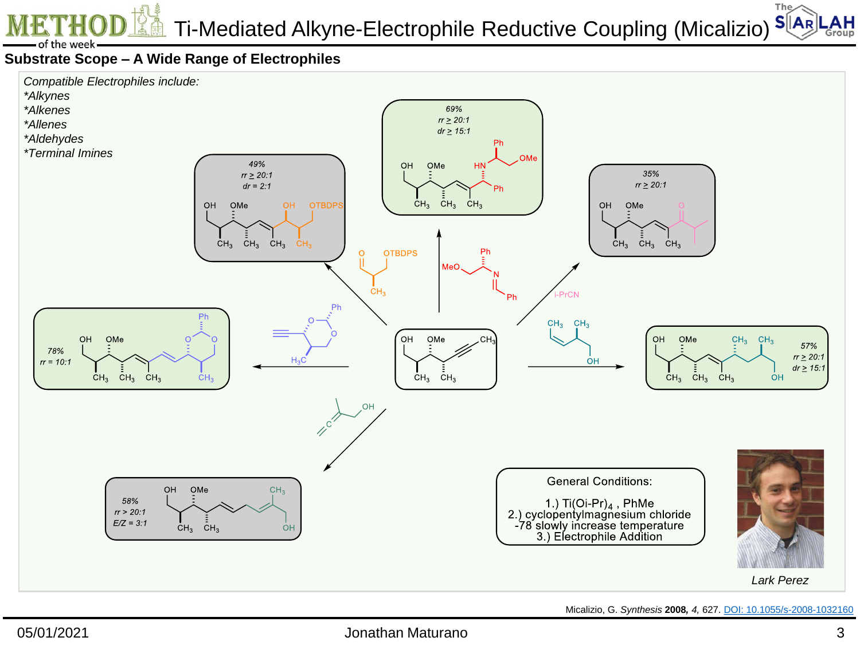Ti-Mediated Alkyne-Electrophile Reductive Coupling (Micalizio)

The $\angle$  $S<sub>AR</sub>$ ΑН Group

# **Substrate Scope – A Wide Range of Electrophiles**

of the week